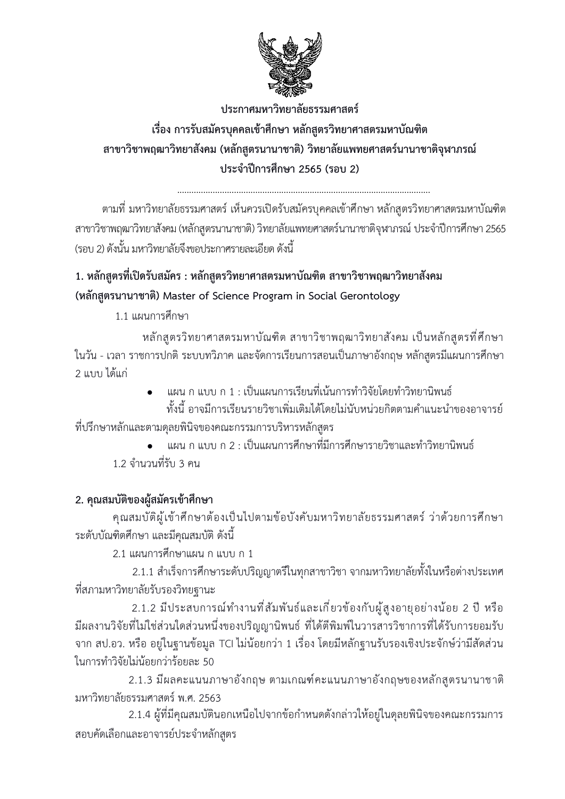

ประกาศมหาวิทยาลัยธรรมศาสตร์ เรื่อง การรับสมัครบุคคลเข้าศึกษา หลักสูตรวิทยาศาสตรมหาบัณฑิต

สาขาวิชาพฤฒาวิทยาสังคม (หลักสูตรนานาชาติ) วิทยาลัยแพทยศาสตร์นานาชาติจุฬาภรณ์ ประจำปีการศึกษา 2565 (รอบ 2)

ตามที่ มหาวิทยาลัยธรรมศาสตร์ เห็นควรเปิดรับสมัครบุคคลเข้าศึกษา หลักสูตรวิทยาศาสตรมหาบัณฑิต สาขาวิชาพฤฒาวิทยาสังคม (หลักสูตรนานาชาติ) วิทยาลัยแพทยศาสตร์นานาชาติจุฬาภรณ์ ประจำปีการศึกษา 2565 (รอบ 2) ดังนั้น มหาวิทยาลัยถึงขอประกาศรายละเอียด ดังนี้

# 1. หลักสูตรที่เปิดรับสมัคร : หลักสูตรวิทยาศาสตรมหาบัณฑิต สาขาวิชาพฤฒาวิทยาสังคม (หลักสูตรนานาชาติ) Master of Science Program in Social Gerontology

1 1 แผบการศึกษา

หลักสตรวิทยาศาสตรมหาบัณฑิต สาขาวิชาพฤฒาวิทยาสังคม เป็นหลักสตรที่ศึกษา ในวัน - เวลา ราชการปกติ ระบบทวิภาค และจัดการเรียนการสอนเป็นภาษาอังกฤษ หลักสูตรมีแผนการศึกษา 2 แบบ ได้แก่

• แผน ก แบบ ก 1 : เป็นแผนการเรียนที่เน้นการทำวิจัยโดยทำวิทยานิพนธ์

้ทั้งนี้ อาจมีการเรียนรายวิชาเพิ่มเติมได้โดยไม่นับหน่วยกิตตามคำแนะนำของอาจารย์ ที่ปรึกษาหลักและตามดุลยพินิจของคณะกรรมการบริหารหลักสูตร

แผน ก แบบ ก 2 : เป็นแผนการศึกษาที่มีการศึกษารายวิชาและทำวิทยานิพนธ์ 1 2 จำนวนที่รับ 3 คน

# 2. คุณสมบัติของผู้สมัครเข้าศึกษา

คุณสมบัติผู้เข้าศึกษาต้องเป็นไปตามข้อบังคับมหาวิทยาลัยธรรมศาสตร์ ว่าด้วยการศึกษา ระดับบัณฑิตศึกษา และมีคณสมบัติ ดังนี้

2.1 แผนการศึกษาแผน ก แบบ ก 1

่ 2.1.1 สำเร็จการศึกษาระดับปริญญาตรีในทุกสาขาวิชา จากมหาวิทยาลัยทั้งในหรือต่างประเทศ ที่สภามหาวิทยาลัยรับรองวิทยธานะ

2.1.2 มีประสบการณ์ทำงานที่สัมพันธ์และเกี่ยวข้องกับผู้สูงอายุอย่างน้อย 2 ปี หรือ มีผลงานวิจัยที่ไม่ใช่ส่วนใดส่วนหนึ่งของปริญญานิพนธ์ ที่ได้ตีพิมพ์ในวารสารวิชาการที่ได้รับการยอมรับ จาก สป.อว. หรือ อยู่ในฐานข้อมูล TCI ไม่น้อยกว่า 1 เรื่อง โดยมีหลักฐานรับรองเชิงประจักษ์ว่ามีสัดส่วน ในการทำวิจัยไม่น้อยกว่าร้อยละ 50

2.1.3 มีผลคะแนนภาษาอังกฤษ ตามเกณฑ์คะแนนภาษาอังกฤษของหลักสูตรนานาชาติ มหาวิทยาลัยธรรมศาสตร์ พ.ศ. 2563

2.1.4 ผู้ที่มีคุณสมบัตินอกเหนือไปจากข้อกำหนดดังกล่าวให้อยู่ในดุลยพินิจของคณะกรรมการ สอบคัดเลือกและอาจารย์ประจำหลักสูตร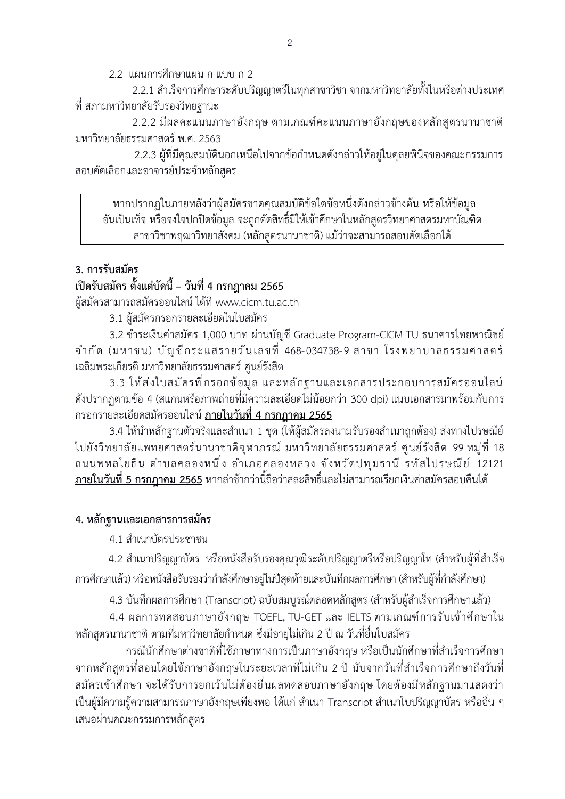2.2 แผนการศึกษาแผน ก แบบ ก 2

2.2.1 สำเร็จการศึกษาระดับปริญญาตรีในทุกสาขาวิชา จากมหาวิทยาลัยทั้งในหรือต่างประเทศ ์ที่ สภามหาวิทยาลัยรับรองวิทยฐานะ

2.2.2 มีผลคะแนนภาษาอังกฤษ ตามเกณฑ์คะแนนภาษาอังกฤษของหลักสตรนานาชาติ มหาวิทยาลัยธรรมศาสตร์ พ.ศ. 2563

2.2.3 ผู้ที่มีคุณสมบัตินอกเหนือไปจากข้อกำหนดดังกล่าวให้อยู่ในดุลยพินิจของคณะกรรมการ สอบคัดเลือกและอาจารย์ประจำหลักสตร

์ หากปรากฏในภายหลังว่าผู้สมัครขาดคุณสมบัติข้อใดข้อหนึ่งดังกล่าวข้างต้น หรือให้ข้อมูล ้อันเป็นเท็จ หรือจงใจปกปิดข้อมูล จะถูกตัดสิทธิ์มิให้เข้าศึกษาในหลักสูตรวิทยาศาสตรมหาบัณฑิต สาขาวิชาพฤฒาวิทยาสังคม (หลักสูตรนานาชาติ) แม้ว่าจะสามารถสอบคัดเลือกได้

## 3. การรับสมัคร

## ้เปิดรับสมัคร ตั้งแต่บัดนี้ – วันที่ 4 กรกฎาคม 2565

ผู้สมัครสามารถสมัครออนไลน์ ได้ที่ www.cicm.tu.ac.th

3.1 ผู้สมัครกรอกรายละเอียดในใบสมัคร

3.2 ชำระเงินค่าสมัคร 1,000 บาท ผ่านบัญชี Graduate Program-CICM TU ธนาคารไทยพาณิชย์ จำกัด (มหาชน) บัญชีกระแสรายวันเลขที่ 468-034738-9 สาขา โรงพยาบาลธรรมศาสตร์ เฉลิมพระเกียรติ มหาวิทยาลัยธรรมศาสตร์ ศูนย์รังสิต

3.3 ให้ส่งใบสมัครที่กรอกข้อมูล และหลักฐานและเอกสารประกอบการสมัครออนไลน์ ดังปรากฏตามข้อ 4 (สแกนหรือภาพถ่ายที่มีความละเอียดไม่น้อยกว่า 300 dpi) แนบเอกสารมาพร้อมกับการ ้กรอกรายละเอียดสมัครออนไลน์ <u>ภายในวันที่ 4 กรกภาคม 2565</u>

3.4 ให้นำหลักฐานตัวจริงและสำเนา 1 ชุด (ให้ผู้สมัครลงนามรับรองสำเนาถูกต้อง) ส่งทางไปรษณีย์ ้ไปยังวิทยาลัยแพทยศาสตร์นานาชาติจุฬาภรณ์ มหาวิทยาลัยธรรมศาสตร์ ศูนย์รังสิต 99 หมู่ที่ 18 ถนนพหลโยธิน ตำบลคลองหนึ่ง อำเภอคลองหลวง จังหวัดปทุมธานี รหัสไปรษณีย์ 12121 <u>ภายในวันที่ 5 กรกฎาคม 2565</u> หากล่าช้ากว่านี้ถือว่าสละสิทธิ์และไม่สามารถเรียกเงินค่าสมัครสอบคืนได้

## 4. หลัก**ฐานและเอกสารการสมั**คร

4.1 สำเนาบัตรประชาชน

4.2 สำเนาปริญญาบัตร หรือหนังสือรับรองคุณวุฒิระดับปริญญาตรีหรือปริญญาโท (สำหรับผู้ที่สำเร็จ การศึกษาแล้ว) หรือหนังสือรับรองว่ากำลังศึกษาอยู่ในปีสุดท้ายและบันทึกผลการศึกษา (สำหรับผู้ที่กำลังศึกษา)

4.3 บันทึกผลการศึกษา (Transcript) ฉบับสมบูรณ์ตลอดหลักสูตร (สำหรับผู้สำเร็จการศึกษาแล้ว)

4.4 ผลการทดสอบภาษาอังกฤษ TOEFL, TU-GET และ IELTS ตามเกณฑ์การรับเข้าศึกษาใน หลักสตรนานาชาติ ตามที่มหาวิทยาลัยกำหนด ซึ่งมีอายไม่เกิน 2 ปี ณ วันที่ยื่นใบสมัคร

กรณีนักศึกษาต่างชาติที่ใช้ภาษาทางการเป็นภาษาอังกฤษ หรือเป็นนักศึกษาที่สำเร็จการศึกษา จากหลักสตรที่สอนโดยใช้ภาษาอังกฤษในระยะเวลาที่ไม่เกิน 2 ปี นับจากวันที่สำเร็จการศึกษาถึงวันที่ ้สมัครเข้าศึกษา จะได้รับการยกเว้นไม่ต้องยื่นผลทดสอบภาษาอังกฤษ โดยต้องมีหลักฐานมาแสดงว่า เป็นผ้มีความร้ความสามารถภาษาอังกฤษเพียงพอ ได้แก่ สำเนา Transcript สำเนาใบปริญญาบัตร หรืออื่น ๆ เสนอผ่านคณะกรรมการหลักสูตร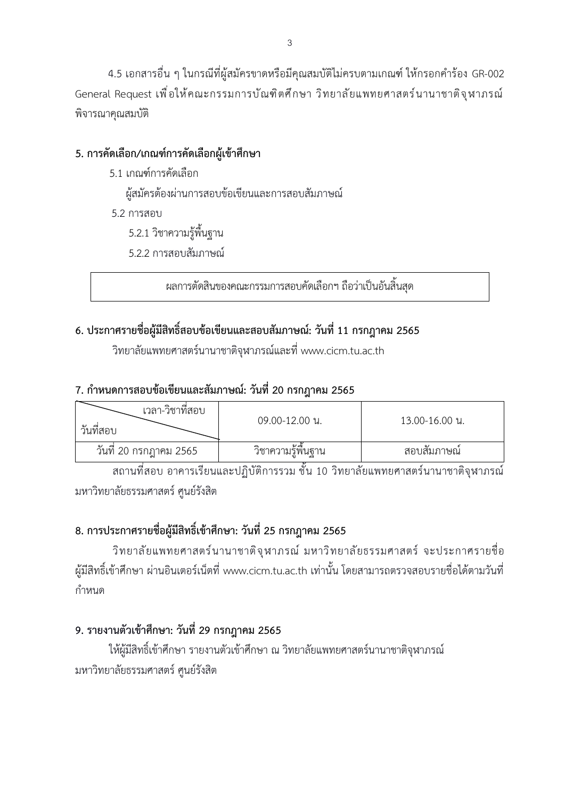4.5 เอกสารอื่น ๆ ในกรณีที่ผู้สมัครขาดหรือมีคุณสมบัติไม่ครบตามเกณฑ์ ให้กรอกคำร้อง GR-002 General Request เพื่อให้คณะกรรมการบัณฑิตศึกษา วิทยาลัยแพทยศาสตร์นานาชาติจุฬาภรณ์ พิจารณาคุณสมบัติ

## 5. การคัดเลือก/เกณฑ์การคัดเลือกผู้เข้าศึกษา

5.1 เกณฑ์การคัดเลือก

ผู้สมัครต้องผ่านการสอบข้อเขียนและการสอบสัมภาษณ์

5.2 การสอบ

5.2.1 วิชาความรู้พื้นฐาน

5.2.2 การสอบสัมภาษณ์

้ ผลการตัดสินของคณะกรรมการสอบคัดเลือกฯ ถือว่าเป็นอันสิ้นสด

# 6. ประกาศรายชื่อผู้มีสิทธิ์สอบข้อเขียนและสอบสัมภาษณ์: วันที่ 11 กรกฎาคม 2565

วิทยาลัยแพทยศาสตร์นานาชาติจุฬาภรณ์และที่ www.cicm.tu.ac.th

# 7. กำหนดการสอบข้อเขียนและสัมภาษณ์: วันที่ 20 กรกฎาคม 2565

| เวลา-วิชาที่สอบ<br>วันที่สอบ | 09.00-12.00 น.     | 13.00-16.00 น. |
|------------------------------|--------------------|----------------|
| วันที่ 20 กรกฎาคม 2565       | วิชาความรู้พื้นฐาน | ี สอบสัมภาษณ์  |

ี<br>สถานที่สอบ อาคารเรียนและปฏิบัติการรวม ชั้น 10 วิทยาลัยแพทยศาสตร์นานาชาติจุฬาภรณ์ มหาวิทยาลัยธรรมศาสตร์ ศูนย์รังสิต

# 8. การประกาศรายชื่อผู้มีสิทธิ์เข้าศึกษา: วันที่ 25 กรกฎาคม 2565

วิทยาลัยแพทยศาสตร์นานาชาติจุฬาภรณ์ มหาวิทยาลัยธรรมศาสตร์ จะประกาศรายชื่อ ผู้มีสิทธิ์เข้าศึกษา ผ่านอินเตอร์เน็ตที่ www.cicm.tu.ac.th เท่านั้น โดยสามารถตรวจสอบรายชื่อได้ตามวันที่ กำหบด

# 9. รายงานตัวเข้าศึกษา: วันที่ 29 กรกฎาคม 2565

ให้ผ้มีสิทธิ์เข้าศึกษา รายงานตัวเข้าศึกษา ณ วิทยาลัยแพทยศาสตร์นานาชาติจฬาภรณ์ มหาวิทยาลัยธรรมศาสตร์ ศนย์รังสิต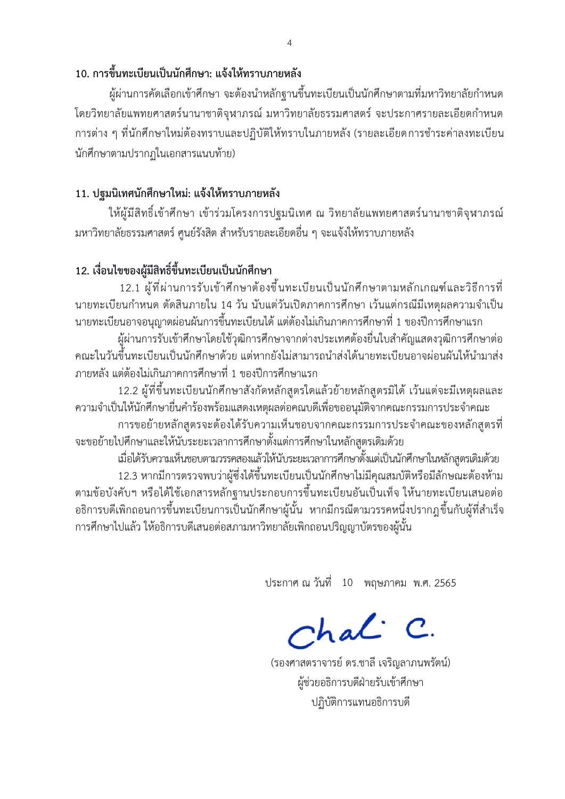### 10. การขึ้นทะเบียนเป็นนักศึกษา: แจ้งให้ทราบภายหลัง

ผู้ผ่านการคัดเลือกเข้าศึกษา จะต้องนำหลักฐานขึ้นทะเบียนเป็นนักศึกษาตามที่มหาวิทยาลัยกำหนด โดยวิทยาลัยแพทยศาสตร์นานาชาติจุฬาภรณ์ มหาวิทยาลัยธรรมศาสตร์ จะประกาศรายละเอียดกำหนด ึการต่าง ๆ ที่นักศึกษาใหม่ต้องทราบและปฏิบัติให้ทราบในภายหลัง (รายละเอียดการชำระค่าลงทะเบียน นักศึกษาตามปรากฏในเอกสารแนบท้าย)

## 11. ปฐมนิเทศนักศึกษาใหม่: แจ้งให้ทราบภายหลัง

ให้ผู้มีสิทธิ์เข้าศึกษา เข้าร่วมโครงการปฐมนิเทศ ณ วิทยาลัยแพทยศาสตร์นานาชาติจุฬาภรณ์ ้มหาวิทยาลัยธรรมศาสตร์ ศูนย์รังสิต สำหรับรายละเอียดอื่น ๆ จะแจ้งให้ทราบภายหลัง

# 12. เงื่อนไขของผู้มีสิทธิ์ขึ้นทะเบียนเป็นนักศึกษา

12.1 ผู้ที่ผ่านการรับเข้าศึกษาต้องขึ้นทะเบียนเป็นนักศึกษาตามหลักเกณฑ์และวิธีการที่ นายทะเบียนกำหนด ตัดสินภายใน 14 วัน นับแต่วันเปิดภาคการศึกษา เว้นแต่กรณีมีเหตุผลความจำเป็น ้นายทะเบียนอาจอนุญาตผ่อนผันการขึ้นทะเบียนได้ แต่ต้องไม่เกินภาคการศึกษาที่ 1 ของปีการศึกษาแรก

ผู้ผ่านการรับเข้าศึกษาโดยใช้วุฒิการศึกษาจากต่างประเทศต้องยื่นใบสำคัญแสดงวุฒิการศึกษาต่อ คณะในวันขึ้นทะเบียนเป็นนักศึกษาด้วย แต่หากยังไม่สามารถนำส่งได้นายทะเบียนอาจผ่อนผันให้นำมาส่ง ภายหลัง แต่ต้องไม่เกินภาคการศึกษาที่ 1 ของปีการศึกษาแรก

12.2 ผู้ที่ขึ้นทะเบียนนักศึกษาสังกัดหลักสูตรใดแล้วย้ายหลักสูตรมิได้ เว้นแต่จะมีเหตุผลและ ้ความจำเป็นให้นักศึกษายื่นคำร้องพร้อมแสดงเหตุผลต่อคณบดีเพื่อขออนุมัติจากคณะกรรมการประจำคณะ การขอย้ายหลักสูตรจะต้องได้รับความเห็นชอบจากคณะกรรมการประจำคณะของหลักสูตรที่ ้จะขอย้ายไปศึกษาและให้นับระยะเวลาการศึกษาตั้งแต่การศึกษาในหลักสูตรเดิมด้วย

เมื่อได้รับความเห็นชอบตามวรรคสองแล้วให้นับระยะเวลาการศึกษาตั้งแต่เป็นนักศึกษาในหลักสูตรเดิมด้วย 12.3 หากมีการตรวจพบว่าผู้ซึ่งได้ขึ้นทะเบียนเป็นนักศึกษาไม่มีคุณสมบัติหรือมีลักษณะต้องห้าม ิตามข้อบังคับฯ หรือได้ใช้เอกสารหลักฐานประกอบการขึ้นทะเบียนอันเป็นเท็จ ให้นายทะเบียนเสนอต่อ ้อธิการบดีเพิกถอนการขึ้นทะเบียนการเป็นนักศึกษาผู้นั้น หากมีกรณีตามวรรคหนึ่งปรากฏขึ้นกับผู้ที่สำเร็จ ่ การศึกษาไปแล้ว ให้อธิการบดีเสนอต่อสภามหาวิทยาลัยเพิกถอนปริญญาบัตรของผู้นั้น

ประกาศ ณ วันที่ 10 พฤษภาคม พ.ศ. 2565

Chal C.

(รองศาสตราจารย์ ดร.ชาลี เจริญลาภนพรัตน์) ผู้ช่วยอธิการบดีฝ่ายรับเข้าศึกษา ปฏิบัติการแทนอธิการบดี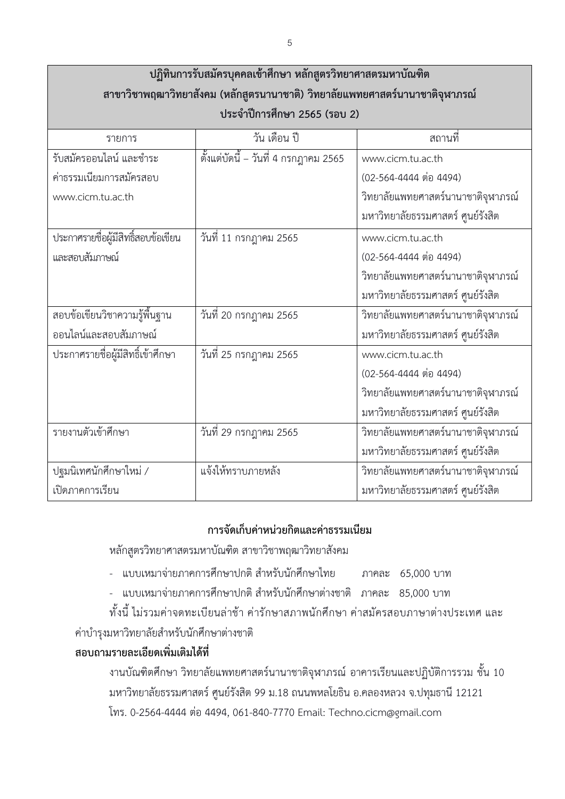| ปฏิทินการรับสมัครบุคคลเข้าศึกษา หลักสูตรวิทยาศาสตรมหาบัณฑิต                  |                                        |                                    |  |  |
|------------------------------------------------------------------------------|----------------------------------------|------------------------------------|--|--|
| สาขาวิชาพฤฒาวิทยาสังคม (หลักสูตรนานาชาติ) วิทยาลัยแพทยศาสตร์นานาชาติจุฬาภรณ์ |                                        |                                    |  |  |
| ประจำปีการศึกษา 2565 (รอบ 2)                                                 |                                        |                                    |  |  |
| รายการ                                                                       | วัน เดือน ปี                           | ิสถานที่                           |  |  |
| รับสมัครออนไลน์ และชำระ                                                      | ์ตั้งแต่บัดนี้ – วันที่ 4 กรกฎาคม 2565 | www.cicm.tu.ac.th                  |  |  |
| ค่าธรรมเนียมการสมัครสอบ                                                      |                                        | (02-564-4444 ต่อ 4494)             |  |  |
| www.cicm.tu.ac.th                                                            |                                        | วิทยาลัยแพทยศาสตร์นานาชาติจุฬาภรณ์ |  |  |
|                                                                              |                                        | มหาวิทยาลัยธรรมศาสตร์ ศูนย์รังสิต  |  |  |
| ประกาศรายชื่อผู้มีสิทธิ์สอบข้อเขียน                                          | วันที่ 11 กรกฎาคม 2565                 | www.cicm.tu.ac.th                  |  |  |
| และสอบสัมภาษณ์                                                               |                                        | (02-564-4444 ต่อ 4494)             |  |  |
|                                                                              |                                        | วิทยาลัยแพทยศาสตร์นานาชาติจุฬาภรณ์ |  |  |
|                                                                              |                                        | มหาวิทยาลัยธรรมศาสตร์ ศูนย์รังสิต  |  |  |
| สอบข้อเขียนวิชาความรู้พื้นฐาน                                                | วันที่ 20 กรกฎาคม 2565                 | วิทยาลัยแพทยศาสตร์นานาชาติจุฬาภรณ์ |  |  |
| ออนไลน์และสอบสัมภาษณ์                                                        |                                        | มหาวิทยาลัยธรรมศาสตร์ ศูนย์รังสิต  |  |  |
| ประกาศรายชื่อผู้มีสิทธิ์เข้าศึกษา                                            | วันที่ 25 กรกฎาคม 2565                 | www.cicm.tu.ac.th                  |  |  |
|                                                                              |                                        | (02-564-4444 ต่อ 4494)             |  |  |
|                                                                              |                                        | วิทยาลัยแพทยศาสตร์นานาชาติจุฬาภรณ์ |  |  |
|                                                                              |                                        | มหาวิทยาลัยธรรมศาสตร์ ศูนย์รังสิต  |  |  |
| รายงานตัวเข้าศึกษา                                                           | วันที่ 29 กรกฎาคม 2565                 | วิทยาลัยแพทยศาสตร์นานาชาติจุฬาภรณ์ |  |  |
|                                                                              |                                        | มหาวิทยาลัยธรรมศาสตร์ ศูนย์รังสิต  |  |  |
| ปฐมนิเทศนักศึกษาใหม่ /                                                       | แจ้งให้ทราบภายหลัง                     | วิทยาลัยแพทยศาสตร์นานาชาติจุฬาภรณ์ |  |  |
| เปิดภาคการเรียน                                                              |                                        | มหาวิทยาลัยธรรมศาสตร์ ศูนย์รังสิต  |  |  |

### ้การจัดเก็บค่าหน่วยกิตและค่าธรรมเนียม

หลักสูตรวิทยาศาสตรมหาบัณฑิต สาขาวิชาพฤฒาวิทยาสังคม

- $\cdot$  แบบเหมาจ่ายภาคการศึกษาปกติ สำหรับนักศึกษาไทย ภาคละ 65,000 บาท
- $\cdot$  แบบเหมาจ่ายภาคการศึกษาปกติ สำหรับนักศึกษาต่างชาติ ภาคละ 85,000 บาท

์ ทั้งนี้ ไม่รวมค่าจดทะเบียนล่าช้า ค่ารักษาสภาพนักศึกษา ค่าสมัครสอบภาษาต่างประเทศ และ ค่าบำรุงมหาวิทยาลัยสำหรับนักศึกษาต่างชาติ

## **ÿĂïëćöøć÷úąđĂĊ÷éđóĉęöđêĉöĕéšìĊę**

้งานบัณฑิตศึกษา วิทยาลัยแพทยศาสตร์นานาชาติจุฬาภรณ์ อาคารเรียนและปฏิบัติการรวม ชั้น 10 ้มหาวิทยาลัยธรรมศาสตร์ ศูนย์รังสิต 99 ม.18 ถนนพหลโยธิน อ.คลองหลวง จ.ปทุมธานี 12121 โทร. 0-2564-4444 ต่อ 4494, 061-840-7770 Email: Techno.cicm@gmail.com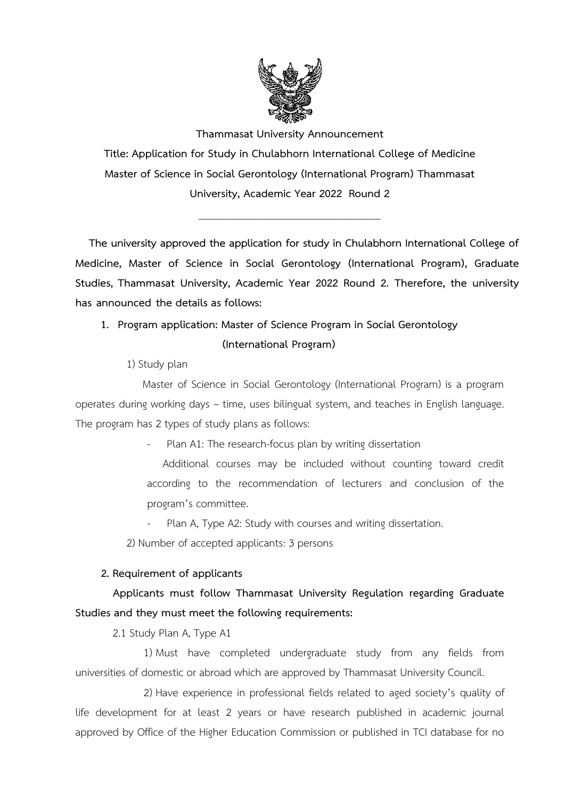

**Thammasat University Announcement Title: Application for Study in Chulabhorn International College of Medicine Master of Science in Social Gerontology (International Program) Thammasat University, Academic Year 2022 Round 2**

\_\_\_\_\_\_\_\_\_\_\_\_\_\_\_\_\_\_\_\_\_\_\_\_\_\_\_\_\_\_\_\_\_\_

**The university approved the application for study in Chulabhorn International College of Medicine, Master of Science in Social Gerontology (International Program), Graduate Studies, Thammasat University, Academic Year 2022 Round 2. Therefore, the university has announced the details as follows:** 

## **1. Program application: Master of Science Program in Social Gerontology (International Program)**

1) Study plan

Master of Science in Social Gerontology (International Program) is a program operates during working days – time, uses bilingual system, and teaches in English language. The program has 2 types of study plans as follows:

Plan A1: The research-focus plan by writing dissertation

Additional courses may be included without counting toward credit according to the recommendation of lecturers and conclusion of the program's committee.

- Plan A, Type A2: Study with courses and writing dissertation.
- 2) Number of accepted applicants: 3 persons

### **2. Requirement of applicants**

### **Applicants must follow Thammasat University Regulation regarding Graduate Studies and they must meet the following requirements:**

2.1 Study Plan A, Type A1

1) Must have completed undergraduate study from any fields from universities of domestic or abroad which are approved by Thammasat University Council.

2) Have experience in professional fields related to aged society's quality of life development for at least 2 years or have research published in academic journal approved by Office of the Higher Education Commission or published in TCI database for no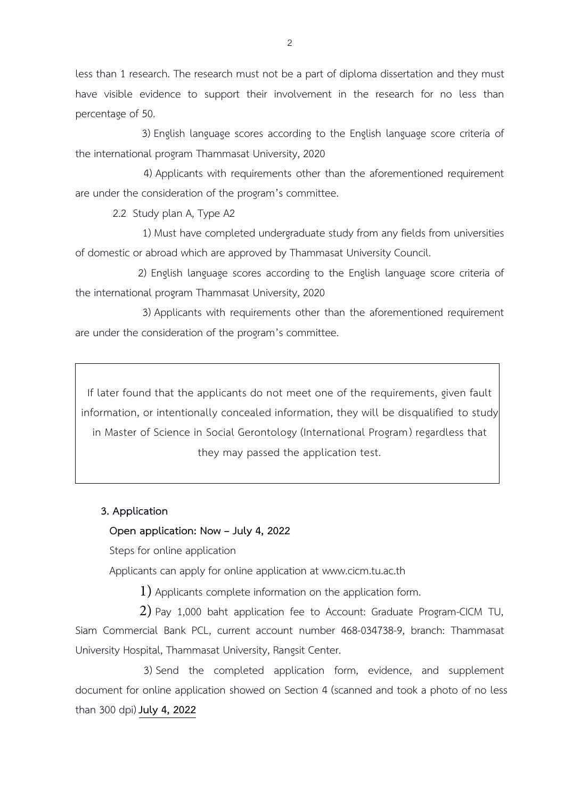less than 1 research. The research must not be a part of diploma dissertation and they must have visible evidence to support their involvement in the research for no less than percentage of 50.

3) English language scores according to the English language score criteria of the international program Thammasat University, 2020

4) Applicants with requirements other than the aforementioned requirement are under the consideration of the program's committee.

2.2 Study plan A, Type A2

1) Must have completed undergraduate study from any fields from universities of domestic or abroad which are approved by Thammasat University Council.

2) English language scores according to the English language score criteria of the international program Thammasat University, 2020

3) Applicants with requirements other than the aforementioned requirement are under the consideration of the program's committee.

If later found that the applicants do not meet one of the requirements, given fault information, or intentionally concealed information, they will be disqualified to study in Master of Science in Social Gerontology (International Program) regardless that they may passed the application test.

#### **3. Application**

#### **Open application: Now – July 4, 2022**

Steps for online application

Applicants can apply for online application at www.cicm.tu.ac.th

1) Applicants complete information on the application form.

2) Pay 1,000 baht application fee to Account: Graduate Program-CICM TU, Siam Commercial Bank PCL, current account number 468-034738-9, branch: Thammasat University Hospital, Thammasat University, Rangsit Center.

3) Send the completed application form, evidence, and supplement document for online application showed on Section 4 (scanned and took a photo of no less than 300 dpi) **July 4, 2022**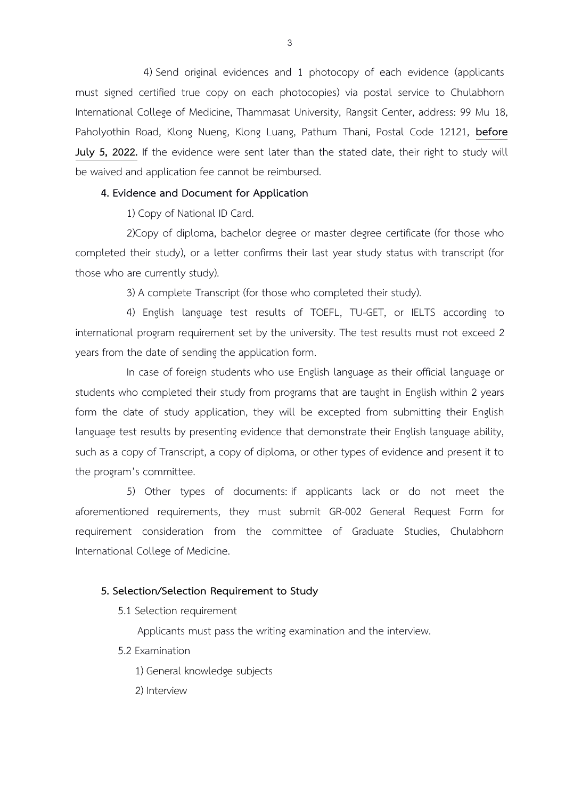4) Send original evidences and 1 photocopy of each evidence (applicants must signed certified true copy on each photocopies) via postal service to Chulabhorn International College of Medicine, Thammasat University, Rangsit Center, address: 99 Mu 18, Paholyothin Road, Klong Nueng, Klong Luang, Pathum Thani, Postal Code 12121, **before July 5, 2022.** If the evidence were sent later than the stated date, their right to study will be waived and application fee cannot be reimbursed.

#### **4. Evidence and Document for Application**

1) Copy of National ID Card.

2)Copy of diploma, bachelor degree or master degree certificate (for those who completed their study), or a letter confirms their last year study status with transcript (for those who are currently study).

3) A complete Transcript (for those who completed their study).

4) English language test results of TOEFL, TU-GET, or IELTS according to international program requirement set by the university. The test results must not exceed 2 years from the date of sending the application form.

In case of foreign students who use English language as their official language or students who completed their study from programs that are taught in English within 2 years form the date of study application, they will be excepted from submitting their English language test results by presenting evidence that demonstrate their English language ability, such as a copy of Transcript, a copy of diploma, or other types of evidence and present it to the program's committee.

5) Other types of documents: if applicants lack or do not meet the aforementioned requirements, they must submit GR-002 General Request Form for requirement consideration from the committee of Graduate Studies, Chulabhorn International College of Medicine.

#### **5. Selection/Selection Requirement to Study**

5.1 Selection requirement

Applicants must pass the writing examination and the interview.

- 5.2 Examination
	- 1) General knowledge subjects
	- 2) Interview

3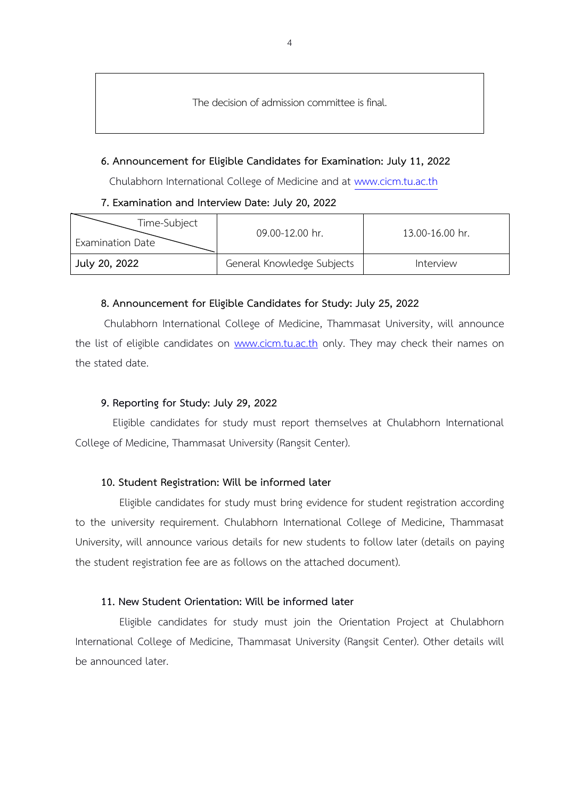The decision of admission committee is final.

#### **6. Announcement for Eligible Candidates for Examination: July 11, 2022**

Chulabhorn International College of Medicine and at [www.cicm.tu.ac.th](http://www.cicm.tu.ac.th/)

**7. Examination and Interview Date: July 20, 2022** 

| Time-Subject<br><b>Examination Date</b> | 09.00-12.00 hr.            | 13.00-16.00 hr. |
|-----------------------------------------|----------------------------|-----------------|
| July 20, 2022                           | General Knowledge Subjects | Interview       |

#### **8. Announcement for Eligible Candidates for Study: July 25, 2022**

Chulabhorn International College of Medicine, Thammasat University, will announce the list of eligible candidates on [www.cicm.tu.ac.th](http://www.cicm.tu.ac.th/) only. They may check their names on the stated date.

#### **9. Reporting for Study: July 29, 2022**

Eligible candidates for study must report themselves at Chulabhorn International College of Medicine, Thammasat University (Rangsit Center).

#### **10. Student Registration: Will be informed later**

Eligible candidates for study must bring evidence for student registration according to the university requirement. Chulabhorn International College of Medicine, Thammasat University, will announce various details for new students to follow later (details on paying the student registration fee are as follows on the attached document).

#### **11. New Student Orientation: Will be informed later**

Eligible candidates for study must join the Orientation Project at Chulabhorn International College of Medicine, Thammasat University (Rangsit Center). Other details will be announced later.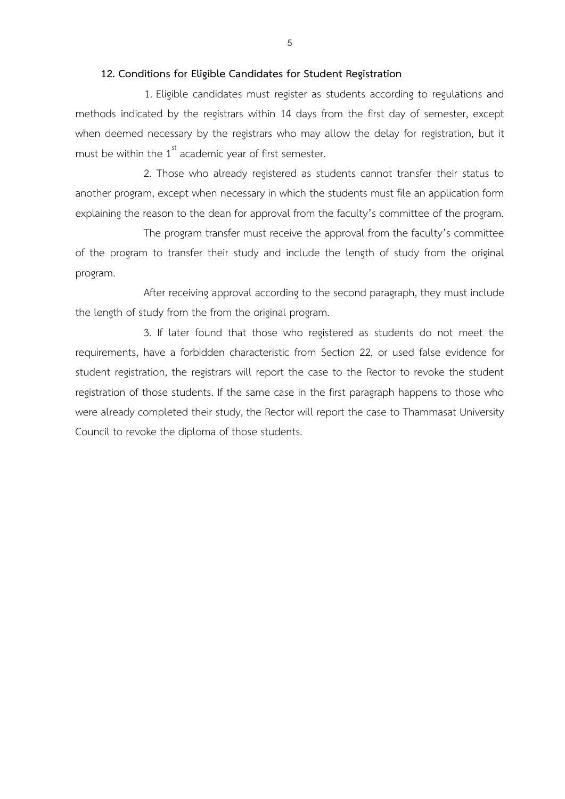#### **12. Conditions for Eligible Candidates for Student Registration**

1. Eligible candidates must register as students according to regulations and methods indicated by the registrars within 14 days from the first day of semester, except when deemed necessary by the registrars who may allow the delay for registration, but it must be within the  $1<sup>st</sup>$  academic year of first semester.

2. Those who already registered as students cannot transfer their status to another program, except when necessary in which the students must file an application form explaining the reason to the dean for approval from the faculty's committee of the program.

The program transfer must receive the approval from the faculty's committee of the program to transfer their study and include the length of study from the original program.

After receiving approval according to the second paragraph, they must include the length of study from the from the original program.

3. If later found that those who registered as students do not meet the requirements, have a forbidden characteristic from Section 22, or used false evidence for student registration, the registrars will report the case to the Rector to revoke the student registration of those students. If the same case in the first paragraph happens to those who were already completed their study, the Rector will report the case to Thammasat University Council to revoke the diploma of those students.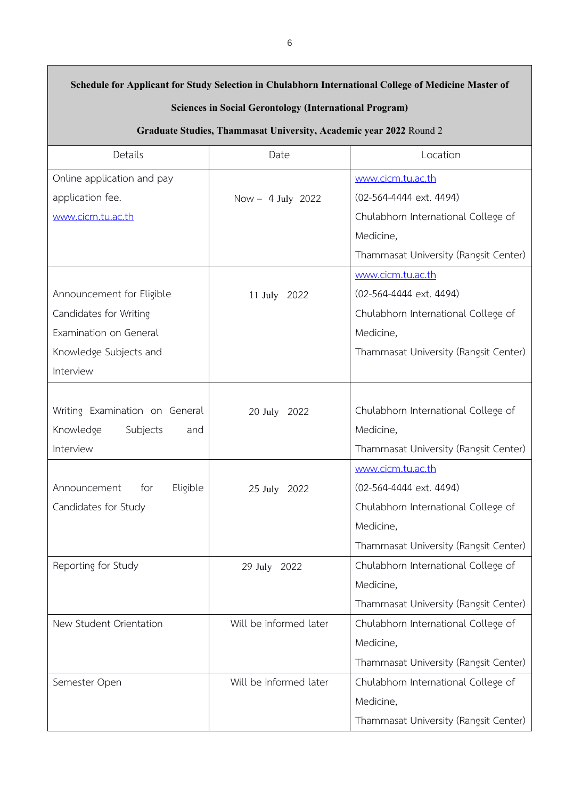| Schedule for Applicant for Study Selection in Chulabhorn International College of Medicine Master of<br><b>Sciences in Social Gerontology (International Program)</b> |                        |                                       |  |  |
|-----------------------------------------------------------------------------------------------------------------------------------------------------------------------|------------------------|---------------------------------------|--|--|
| Graduate Studies, Thammasat University, Academic year 2022 Round 2                                                                                                    |                        |                                       |  |  |
| Details                                                                                                                                                               | Date                   | Location                              |  |  |
| Online application and pay                                                                                                                                            |                        | www.cicm.tu.ac.th                     |  |  |
| application fee.                                                                                                                                                      | Now - $4$ July 2022    | (02-564-4444 ext. 4494)               |  |  |
| www.cicm.tu.ac.th                                                                                                                                                     |                        | Chulabhorn International College of   |  |  |
|                                                                                                                                                                       |                        | Medicine,                             |  |  |
|                                                                                                                                                                       |                        | Thammasat University (Rangsit Center) |  |  |
|                                                                                                                                                                       |                        | www.cicm.tu.ac.th                     |  |  |
| Announcement for Eligible                                                                                                                                             | 11 July 2022           | (02-564-4444 ext. 4494)               |  |  |
| Candidates for Writing                                                                                                                                                |                        | Chulabhorn International College of   |  |  |
| Examination on General                                                                                                                                                |                        | Medicine,                             |  |  |
| Knowledge Subjects and                                                                                                                                                |                        | Thammasat University (Rangsit Center) |  |  |
| Interview                                                                                                                                                             |                        |                                       |  |  |
|                                                                                                                                                                       |                        |                                       |  |  |
| Writing Examination on General                                                                                                                                        | 20 July 2022           | Chulabhorn International College of   |  |  |
| Knowledge<br>Subjects<br>and                                                                                                                                          |                        | Medicine,                             |  |  |
| Interview                                                                                                                                                             |                        | Thammasat University (Rangsit Center) |  |  |
|                                                                                                                                                                       |                        | www.cicm.tu.ac.th                     |  |  |
| Announcement for Eligible                                                                                                                                             | 25 July 2022           | (02-564-4444 ext. 4494)               |  |  |
| Candidates for Study                                                                                                                                                  |                        | Chulabhorn International College of   |  |  |
|                                                                                                                                                                       |                        | Medicine,                             |  |  |
|                                                                                                                                                                       |                        | Thammasat University (Rangsit Center) |  |  |
| Reporting for Study                                                                                                                                                   | 29 July 2022           | Chulabhorn International College of   |  |  |
|                                                                                                                                                                       |                        | Medicine,                             |  |  |
|                                                                                                                                                                       |                        | Thammasat University (Rangsit Center) |  |  |
| New Student Orientation                                                                                                                                               | Will be informed later | Chulabhorn International College of   |  |  |
|                                                                                                                                                                       |                        | Medicine,                             |  |  |
|                                                                                                                                                                       |                        | Thammasat University (Rangsit Center) |  |  |
| Semester Open                                                                                                                                                         | Will be informed later | Chulabhorn International College of   |  |  |
|                                                                                                                                                                       |                        | Medicine,                             |  |  |
|                                                                                                                                                                       |                        | Thammasat University (Rangsit Center) |  |  |